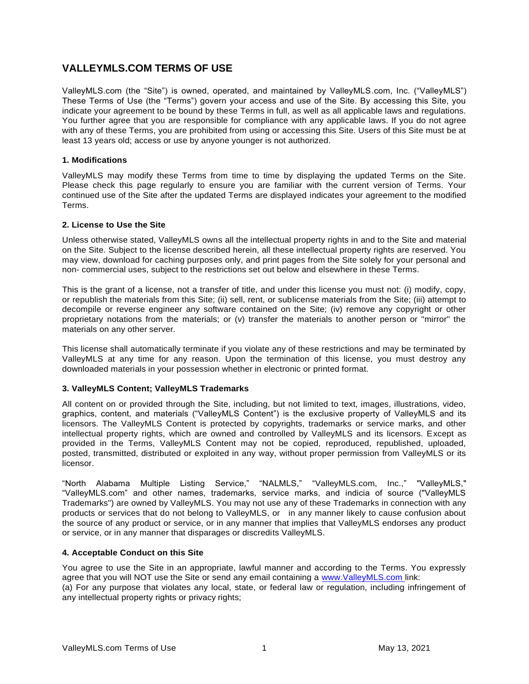# **VALLEYMLS.COM TERMS OF USE**

ValleyMLS.com (the "Site") is owned, operated, and maintained by ValleyMLS.com, Inc. ("ValleyMLS") These Terms of Use (the "Terms") govern your access and use of the Site. By accessing this Site, you indicate your agreement to be bound by these Terms in full, as well as all applicable laws and regulations. You further agree that you are responsible for compliance with any applicable laws. If you do not agree with any of these Terms, you are prohibited from using or accessing this Site. Users of this Site must be at least 13 years old; access or use by anyone younger is not authorized.

### **1. Modifications**

ValleyMLS may modify these Terms from time to time by displaying the updated Terms on the Site. Please check this page regularly to ensure you are familiar with the current version of Terms. Your continued use of the Site after the updated Terms are displayed indicates your agreement to the modified Terms.

### **2. License to Use the Site**

Unless otherwise stated, ValleyMLS owns all the intellectual property rights in and to the Site and material on the Site. Subject to the license described herein, all these intellectual property rights are reserved. You may view, download for caching purposes only, and print pages from the Site solely for your personal and non- commercial uses, subject to the restrictions set out below and elsewhere in these Terms.

This is the grant of a license, not a transfer of title, and under this license you must not: (i) modify, copy, or republish the materials from this Site; (ii) sell, rent, or sublicense materials from the Site; (iii) attempt to decompile or reverse engineer any software contained on the Site; (iv) remove any copyright or other proprietary notations from the materials; or (v) transfer the materials to another person or "mirror" the materials on any other server.

This license shall automatically terminate if you violate any of these restrictions and may be terminated by ValleyMLS at any time for any reason. Upon the termination of this license, you must destroy any downloaded materials in your possession whether in electronic or printed format.

## **3. ValleyMLS Content; ValleyMLS Trademarks**

All content on or provided through the Site, including, but not limited to text, images, illustrations, video, graphics, content, and materials ("ValleyMLS Content") is the exclusive property of ValleyMLS and its licensors. The ValleyMLS Content is protected by copyrights, trademarks or service marks, and other intellectual property rights, which are owned and controlled by ValleyMLS and its licensors. Except as provided in the Terms, ValleyMLS Content may not be copied, reproduced, republished, uploaded, posted, transmitted, distributed or exploited in any way, without proper permission from ValleyMLS or its licensor.

"North Alabama Multiple Listing Service," "NALMLS," "ValleyMLS.com, Inc.," "ValleyMLS," "ValleyMLS.com" and other names, trademarks, service marks, and indicia of source ("ValleyMLS Trademarks") are owned by ValleyMLS. You may not use any of these Trademarks in connection with any products or services that do not belong to ValleyMLS, or in any manner likely to cause confusion about the source of any product or service, or in any manner that implies that ValleyMLS endorses any product or service, or in any manner that disparages or discredits ValleyMLS.

### **4. Acceptable Conduct on this Site**

You agree to use the Site in an appropriate, lawful manner and according to the Terms. You expressly agree that you will NOT use the Site or send any email containing a [www.ValleyMLS.com l](http://www.valleymls.com/)ink: (a) For any purpose that violates any local, state, or federal law or regulation, including infringement of any intellectual property rights or privacy rights;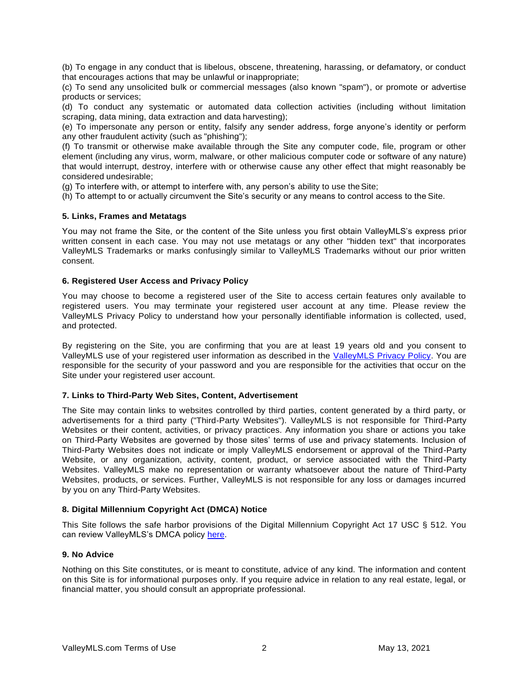(b) To engage in any conduct that is libelous, obscene, threatening, harassing, or defamatory, or conduct that encourages actions that may be unlawful or inappropriate;

(c) To send any unsolicited bulk or commercial messages (also known "spam"), or promote or advertise products or services;

(d) To conduct any systematic or automated data collection activities (including without limitation scraping, data mining, data extraction and data harvesting);

(e) To impersonate any person or entity, falsify any sender address, forge anyone's identity or perform any other fraudulent activity (such as "phishing");

(f) To transmit or otherwise make available through the Site any computer code, file, program or other element (including any virus, worm, malware, or other malicious computer code or software of any nature) that would interrupt, destroy, interfere with or otherwise cause any other effect that might reasonably be considered undesirable;

(g) To interfere with, or attempt to interfere with, any person's ability to use theSite;

(h) To attempt to or actually circumvent the Site's security or any means to control access to the Site.

### **5. Links, Frames and Metatags**

You may not frame the Site, or the content of the Site unless you first obtain ValleyMLS's express prior written consent in each case. You may not use metatags or any other "hidden text" that incorporates ValleyMLS Trademarks or marks confusingly similar to ValleyMLS Trademarks without our prior written consent.

### **6. Registered User Access and Privacy Policy**

You may choose to become a registered user of the Site to access certain features only available to registered users. You may terminate your registered user account at any time. Please review the ValleyMLS Privacy Policy to understand how your personally identifiable information is collected, used, and protected.

By registering on the Site, you are confirming that you are at least 19 years old and you consent to ValleyMLS use of your registered user information as described in the [ValleyMLS Privacy Policy.](http://haarimages.fnistools.com/Uploads/RECos/1293/ContentFiles/180719nalmlswebsiteprivacypolicy-clean.pdf) You are responsible for the security of your password and you are responsible for the activities that occur on the Site under your registered user account.

#### **7. Links to Third-Party Web Sites, Content, Advertisement**

The Site may contain links to websites controlled by third parties, content generated by a third party, or advertisements for a third party ("Third-Party Websites"). ValleyMLS is not responsible for Third-Party Websites or their content, activities, or privacy practices. Any information you share or actions you take on Third-Party Websites are governed by those sites' terms of use and privacy statements. Inclusion of Third-Party Websites does not indicate or imply ValleyMLS endorsement or approval of the Third-Party Website, or any organization, activity, content, product, or service associated with the Third-Party Websites. ValleyMLS make no representation or warranty whatsoever about the nature of Third-Party Websites, products, or services. Further, ValleyMLS is not responsible for any loss or damages incurred by you on any Third-Party Websites.

### **8. Digital Millennium Copyright Act (DMCA) Notice**

This Site follows the safe harbor provisions of the Digital Millennium Copyright Act 17 USC § 512. You can review ValleyMLS's DMCA policy [here.](http://haarimages.fnistools.com/Uploads/RECos/1293/ContentFiles/dmcacopyrightdatafinal.pdf)

#### **9. No Advice**

Nothing on this Site constitutes, or is meant to constitute, advice of any kind. The information and content on this Site is for informational purposes only. If you require advice in relation to any real estate, legal, or financial matter, you should consult an appropriate professional.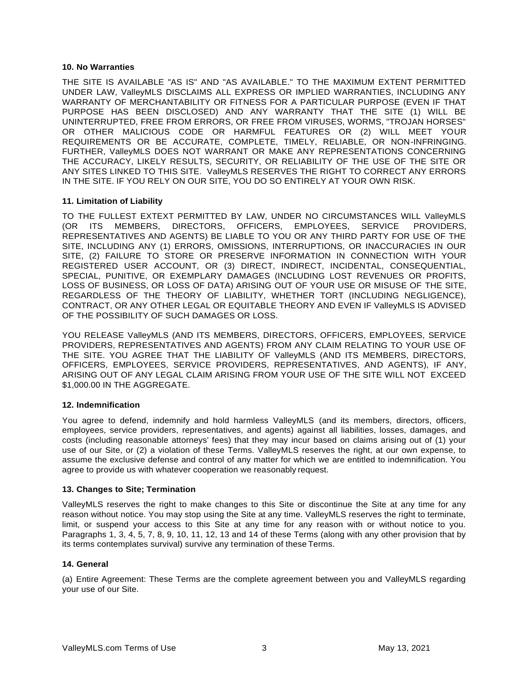### **10. No Warranties**

THE SITE IS AVAILABLE "AS IS" AND "AS AVAILABLE." TO THE MAXIMUM EXTENT PERMITTED UNDER LAW, ValleyMLS DISCLAIMS ALL EXPRESS OR IMPLIED WARRANTIES, INCLUDING ANY WARRANTY OF MERCHANTABILITY OR FITNESS FOR A PARTICULAR PURPOSE (EVEN IF THAT PURPOSE HAS BEEN DISCLOSED) AND ANY WARRANTY THAT THE SITE (1) WILL BE UNINTERRUPTED, FREE FROM ERRORS, OR FREE FROM VIRUSES, WORMS, "TROJAN HORSES" OR OTHER MALICIOUS CODE OR HARMFUL FEATURES OR (2) WILL MEET YOUR REQUIREMENTS OR BE ACCURATE, COMPLETE, TIMELY, RELIABLE, OR NON-INFRINGING. FURTHER, ValleyMLS DOES NOT WARRANT OR MAKE ANY REPRESENTATIONS CONCERNING THE ACCURACY, LIKELY RESULTS, SECURITY, OR RELIABILITY OF THE USE OF THE SITE OR ANY SITES LINKED TO THIS SITE. ValleyMLS RESERVES THE RIGHT TO CORRECT ANY ERRORS IN THE SITE. IF YOU RELY ON OUR SITE, YOU DO SO ENTIRELY AT YOUR OWN RISK.

### **11. Limitation of Liability**

TO THE FULLEST EXTEXT PERMITTED BY LAW, UNDER NO CIRCUMSTANCES WILL ValleyMLS (OR ITS MEMBERS, DIRECTORS, OFFICERS, EMPLOYEES, SERVICE PROVIDERS, REPRESENTATIVES AND AGENTS) BE LIABLE TO YOU OR ANY THIRD PARTY FOR USE OF THE SITE, INCLUDING ANY (1) ERRORS, OMISSIONS, INTERRUPTIONS, OR INACCURACIES IN OUR SITE, (2) FAILURE TO STORE OR PRESERVE INFORMATION IN CONNECTION WITH YOUR REGISTERED USER ACCOUNT, OR (3) DIRECT, INDIRECT, INCIDENTAL, CONSEQUENTIAL, SPECIAL, PUNITIVE, OR EXEMPLARY DAMAGES (INCLUDING LOST REVENUES OR PROFITS, LOSS OF BUSINESS, OR LOSS OF DATA) ARISING OUT OF YOUR USE OR MISUSE OF THE SITE, REGARDLESS OF THE THEORY OF LIABILITY, WHETHER TORT (INCLUDING NEGLIGENCE), CONTRACT, OR ANY OTHER LEGAL OR EQUITABLE THEORY AND EVEN IF ValleyMLS IS ADVISED OF THE POSSIBILITY OF SUCH DAMAGES OR LOSS.

YOU RELEASE ValleyMLS (AND ITS MEMBERS, DIRECTORS, OFFICERS, EMPLOYEES, SERVICE PROVIDERS, REPRESENTATIVES AND AGENTS) FROM ANY CLAIM RELATING TO YOUR USE OF THE SITE. YOU AGREE THAT THE LIABILITY OF ValleyMLS (AND ITS MEMBERS, DIRECTORS, OFFICERS, EMPLOYEES, SERVICE PROVIDERS, REPRESENTATIVES, AND AGENTS), IF ANY, ARISING OUT OF ANY LEGAL CLAIM ARISING FROM YOUR USE OF THE SITE WILL NOT EXCEED \$1,000.00 IN THE AGGREGATE.

### **12. Indemnification**

You agree to defend, indemnify and hold harmless ValleyMLS (and its members, directors, officers, employees, service providers, representatives, and agents) against all liabilities, losses, damages, and costs (including reasonable attorneys' fees) that they may incur based on claims arising out of (1) your use of our Site, or (2) a violation of these Terms. ValleyMLS reserves the right, at our own expense, to assume the exclusive defense and control of any matter for which we are entitled to indemnification. You agree to provide us with whatever cooperation we reasonably request.

### **13. Changes to Site; Termination**

ValleyMLS reserves the right to make changes to this Site or discontinue the Site at any time for any reason without notice. You may stop using the Site at any time. ValleyMLS reserves the right to terminate, limit, or suspend your access to this Site at any time for any reason with or without notice to you. Paragraphs 1, 3, 4, 5, 7, 8, 9, 10, 11, 12, 13 and 14 of these Terms (along with any other provision that by its terms contemplates survival) survive any termination of these Terms.

### **14. General**

(a) Entire Agreement: These Terms are the complete agreement between you and ValleyMLS regarding your use of our Site.